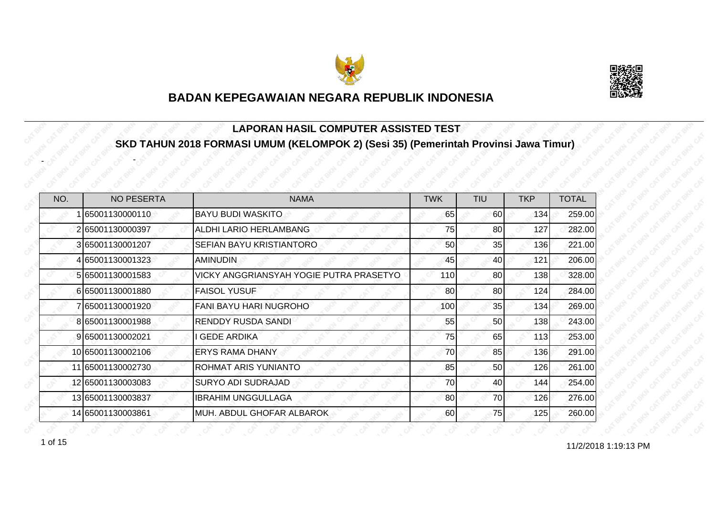



#### **LAPORAN HASIL COMPUTER ASSISTED TEST SKD TAHUN 2018 FORMASI UMUM (KELOMPOK 2) (Sesi 35) (Pemerintah Provinsi Jawa Timur)**

| NO. | <b>NO PESERTA</b> | <b>NAMA</b>                             | <b>TWK</b> | <b>TIU</b> | <b>TKP</b> | <b>TOTAL</b> |
|-----|-------------------|-----------------------------------------|------------|------------|------------|--------------|
|     | 65001130000110    | <b>BAYU BUDI WASKITO</b>                | 65         | 60         | 134        | 259.00       |
|     | 265001130000397   | ALDHI LARIO HERLAMBANG                  | 75         | 80         | 127        | 282.00       |
|     | 3 65001130001207  | SEFIAN BAYU KRISTIANTORO                | 50         | 35         | 136        | 221.00       |
|     | 4 65001130001323  | <b>AMINUDIN</b>                         | 45         | 40         | 121        | 206.00       |
|     | 5 65001130001583  | VICKY ANGGRIANSYAH YOGIE PUTRA PRASETYO | 110        | 80         | 138        | 328.00       |
|     | 665001130001880   | <b>FAISOL YUSUF</b>                     | 80         | 80         | 124        | 284.00       |
|     | 7 65001130001920  | FANI BAYU HARI NUGROHO                  | 100        | 35         | 134        | 269.00       |
|     | 8 65001130001988  | <b>RENDDY RUSDA SANDI</b>               | 55         | 50         | 138        | 243.00       |
|     | 9 65001130002021  | <b>GEDE ARDIKA</b>                      | 75         | 65         | 113        | 253.00       |
|     | 10 65001130002106 | <b>ERYS RAMA DHANY</b>                  | 70         | 85         | 136        | 291.00       |
|     | 11 65001130002730 | ROHMAT ARIS YUNIANTO                    | 85         | 50         | 126        | 261.00       |
|     | 12 65001130003083 | <b>SURYO ADI SUDRAJAD</b>               | 70         | 40         | 144        | 254.00       |
|     | 13 65001130003837 | <b>IBRAHIM UNGGULLAGA</b>               | 80         | 70         | 126        | 276.00       |
|     | 14 65001130003861 | MUH. ABDUL GHOFAR ALBAROK               | 60         | 75         | 125        | 260.00       |

1 of 15

-

-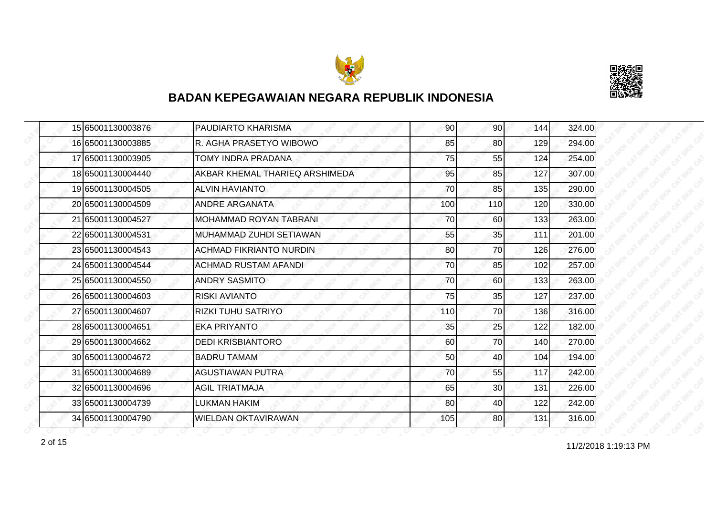



|  | 15 65001130003876 | <b>PAUDIARTO KHARISMA</b>      | 90  | 90 <sub>l</sub> | 144 | 324.00 |
|--|-------------------|--------------------------------|-----|-----------------|-----|--------|
|  | 16 65001130003885 | R. AGHA PRASETYO WIBOWO        | 85  | 80              | 129 | 294.00 |
|  | 17 65001130003905 | TOMY INDRA PRADANA             | 75  | 55              | 124 | 254.00 |
|  | 18 65001130004440 | AKBAR KHEMAL THARIEQ ARSHIMEDA | 95  | 85              | 127 | 307.00 |
|  | 19 65001130004505 | <b>ALVIN HAVIANTO</b>          | 70  | 85              | 135 | 290.00 |
|  | 20 65001130004509 | ANDRE ARGANATA                 | 100 | 110             | 120 | 330.00 |
|  | 21 65001130004527 | <b>MOHAMMAD ROYAN TABRANI</b>  | 70  | 60              | 133 | 263.00 |
|  | 22 65001130004531 | MUHAMMAD ZUHDI SETIAWAN        | 55  | 35              | 111 | 201.00 |
|  | 23 65001130004543 | <b>ACHMAD FIKRIANTO NURDIN</b> | 80  | 70              | 126 | 276.00 |
|  | 24 65001130004544 | <b>ACHMAD RUSTAM AFANDI</b>    | 70  | 85              | 102 | 257.00 |
|  | 25 65001130004550 | <b>ANDRY SASMITO</b>           | 70  | 60              | 133 | 263.00 |
|  | 26 65001130004603 | <b>RISKI AVIANTO</b>           | 75  | 35              | 127 | 237.00 |
|  | 27 65001130004607 | <b>RIZKI TUHU SATRIYO</b>      | 110 | 70              | 136 | 316.00 |
|  | 28 65001130004651 | <b>EKA PRIYANTO</b>            | 35  | 25              | 122 | 182.00 |
|  | 29 65001130004662 | <b>DEDI KRISBIANTORO</b>       | 60  | 70              | 140 | 270.00 |
|  | 30 65001130004672 | <b>BADRU TAMAM</b>             | 50  | 40              | 104 | 194.00 |
|  | 31 65001130004689 | <b>AGUSTIAWAN PUTRA</b>        | 70  | 55              | 117 | 242.00 |
|  | 32 65001130004696 | <b>AGIL TRIATMAJA</b>          | 65  | 30              | 131 | 226.00 |
|  | 33 65001130004739 | <b>LUKMAN HAKIM</b>            | 80  | 40              | 122 | 242.00 |
|  | 34 65001130004790 | <b>WIELDAN OKTAVIRAWAN</b>     | 105 | 80              | 131 | 316.00 |

11/2/2018 1:19:13 PM 2 of 15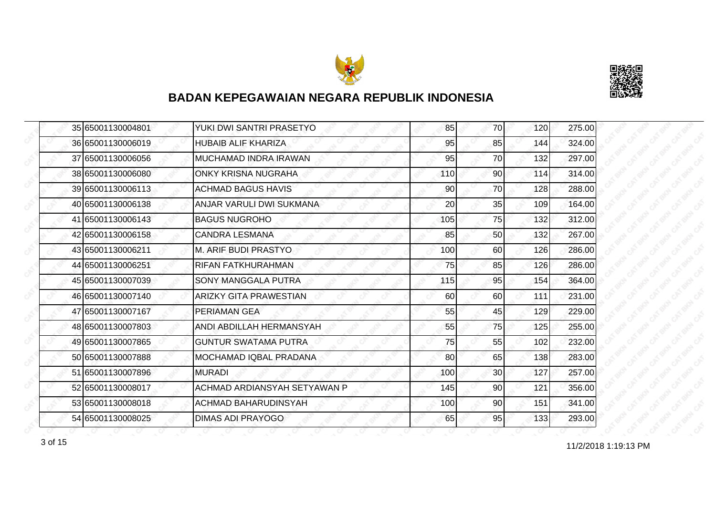



|  | 35 65001130004801 | YUKI DWI SANTRI PRASETYO      | 85  | 70 | 120 | 275.00 |
|--|-------------------|-------------------------------|-----|----|-----|--------|
|  | 36 65001130006019 | <b>HUBAIB ALIF KHARIZA</b>    | 95  | 85 | 144 | 324.00 |
|  | 37 65001130006056 | MUCHAMAD INDRA IRAWAN         | 95  | 70 | 132 | 297.00 |
|  | 38 65001130006080 | <b>ONKY KRISNA NUGRAHA</b>    | 110 | 90 | 114 | 314.00 |
|  | 39 65001130006113 | <b>ACHMAD BAGUS HAVIS</b>     | 90  | 70 | 128 | 288.00 |
|  | 40 65001130006138 | ANJAR VARULI DWI SUKMANA      | 20  | 35 | 109 | 164.00 |
|  | 41 65001130006143 | <b>BAGUS NUGROHO</b>          | 105 | 75 | 132 | 312.00 |
|  | 42 65001130006158 | <b>CANDRA LESMANA</b>         | 85  | 50 | 132 | 267.00 |
|  | 43 65001130006211 | <b>M. ARIF BUDI PRASTYO</b>   | 100 | 60 | 126 | 286.00 |
|  | 44 65001130006251 | <b>RIFAN FATKHURAHMAN</b>     | 75  | 85 | 126 | 286.00 |
|  | 45 65001130007039 | SONY MANGGALA PUTRA           | 115 | 95 | 154 | 364.00 |
|  | 46 65001130007140 | <b>ARIZKY GITA PRAWESTIAN</b> | 60  | 60 | 111 | 231.00 |
|  | 47 65001130007167 | PERIAMAN GEA                  | 55  | 45 | 129 | 229.00 |
|  | 48 65001130007803 | ANDI ABDILLAH HERMANSYAH      | 55  | 75 | 125 | 255.00 |
|  | 49 65001130007865 | <b>GUNTUR SWATAMA PUTRA</b>   | 75  | 55 | 102 | 232.00 |
|  | 50 65001130007888 | <b>MOCHAMAD IQBAL PRADANA</b> | 80  | 65 | 138 | 283.00 |
|  | 51 65001130007896 | <b>MURADI</b>                 | 100 | 30 | 127 | 257.00 |
|  | 52 65001130008017 | ACHMAD ARDIANSYAH SETYAWAN P  | 145 | 90 | 121 | 356.00 |
|  | 53 65001130008018 | <b>ACHMAD BAHARUDINSYAH</b>   | 100 | 90 | 151 | 341.00 |
|  | 54 65001130008025 | DIMAS ADI PRAYOGO             | 65  | 95 | 133 | 293.00 |

11/2/2018 1:19:13 PM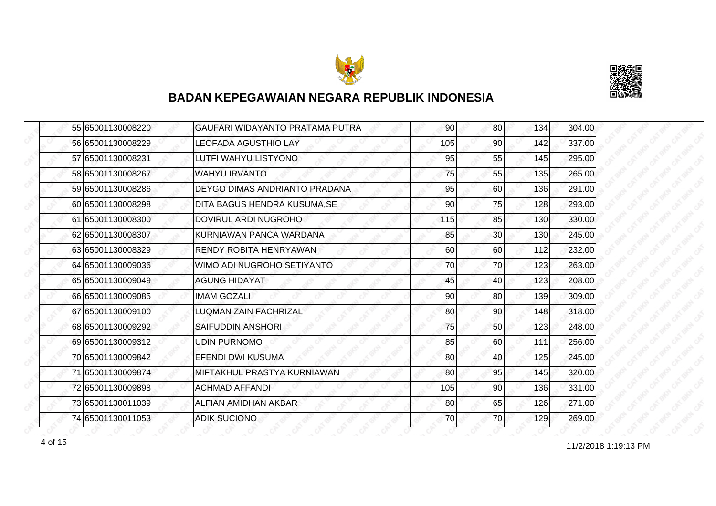



|  | 55 65001130008220 | GAUFARI WIDAYANTO PRATAMA PUTRA | 90  | 80              | 134 | 304.00 |
|--|-------------------|---------------------------------|-----|-----------------|-----|--------|
|  | 56 65001130008229 | <b>LEOFADA AGUSTHIO LAY</b>     | 105 | 90              | 142 | 337.00 |
|  | 57 65001130008231 | LUTFI WAHYU LISTYONO            | 95  | 55              | 145 | 295.00 |
|  | 58 65001130008267 | <b>WAHYU IRVANTO</b>            | 75  | 55              | 135 | 265.00 |
|  | 59 65001130008286 | DEYGO DIMAS ANDRIANTO PRADANA   | 95  | 60              | 136 | 291.00 |
|  | 60 65001130008298 | DITA BAGUS HENDRA KUSUMA, SE    | 90  | 75              | 128 | 293.00 |
|  | 61 65001130008300 | DOVIRUL ARDI NUGROHO            | 115 | 85              | 130 | 330.00 |
|  | 62 65001130008307 | IKURNIAWAN PANCA WARDANA        | 85  | 30 <sub>0</sub> | 130 | 245.00 |
|  | 63 65001130008329 | <b>RENDY ROBITA HENRYAWAN</b>   | 60  | 60              | 112 | 232.00 |
|  | 64 65001130009036 | WIMO ADI NUGROHO SETIYANTO      | 70  | 70              | 123 | 263.00 |
|  | 65 65001130009049 | <b>AGUNG HIDAYAT</b>            | 45  | 40              | 123 | 208.00 |
|  | 66 65001130009085 | <b>IMAM GOZALI</b>              | 90  | 80              | 139 | 309.00 |
|  | 67 65001130009100 | <b>LUQMAN ZAIN FACHRIZAL</b>    | 80  | 90              | 148 | 318.00 |
|  | 68 65001130009292 | SAIFUDDIN ANSHORI               | 75  | 50              | 123 | 248.00 |
|  | 69 65001130009312 | <b>UDIN PURNOMO</b>             | 85  | 60              | 111 | 256.00 |
|  | 70 65001130009842 | <b>EFENDI DWI KUSUMA</b>        | 80  | 40              | 125 | 245.00 |
|  | 71 65001130009874 | MIFTAKHUL PRASTYA KURNIAWAN     | 80  | 95              | 145 | 320.00 |
|  | 72 65001130009898 | ACHMAD AFFANDI                  | 105 | 90              | 136 | 331.00 |
|  | 73 65001130011039 | ALFIAN AMIDHAN AKBAR            | 80  | 65              | 126 | 271.00 |
|  | 74 65001130011053 | <b>ADIK SUCIONO</b>             | 70  | 70              | 129 | 269.00 |

11/2/2018 1:19:13 PM 4 of 15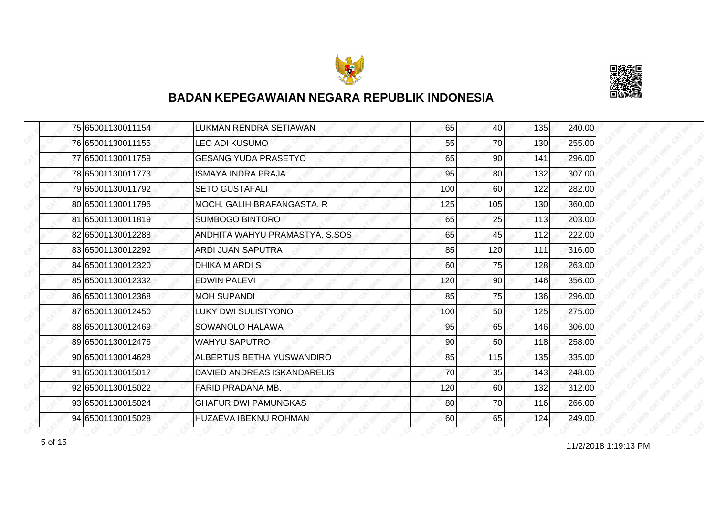



|  | 75 65001130011154 | LUKMAN RENDRA SETIAWAN         | 65  | 40              | 135 | 240.00 |
|--|-------------------|--------------------------------|-----|-----------------|-----|--------|
|  | 76 65001130011155 | <b>LEO ADI KUSUMO</b>          | 55  | 70              | 130 | 255.00 |
|  | 77 65001130011759 | <b>GESANG YUDA PRASETYO</b>    | 65  | 90              | 141 | 296.00 |
|  | 78 65001130011773 | <b>ISMAYA INDRA PRAJA</b>      | 95  | 80 <sup>1</sup> | 132 | 307.00 |
|  | 79 65001130011792 | <b>SETO GUSTAFALI</b>          | 100 | 60              | 122 | 282.00 |
|  | 80 65001130011796 | MOCH, GALIH BRAFANGASTA, R     | 125 | 105             | 130 | 360.00 |
|  | 81 65001130011819 | <b>SUMBOGO BINTORO</b>         | 65  | 25              | 113 | 203.00 |
|  | 82 65001130012288 | ANDHITA WAHYU PRAMASTYA, S.SOS | 65  | 45              | 112 | 222.00 |
|  | 83 65001130012292 | <b>ARDI JUAN SAPUTRA</b>       | 85  | 120             | 111 | 316.00 |
|  | 84 65001130012320 | <b>DHIKA M ARDIS</b>           | 60  | 75              | 128 | 263.00 |
|  | 85 65001130012332 | <b>EDWIN PALEVI</b>            | 120 | 90              | 146 | 356.00 |
|  | 86 65001130012368 | <b>MOH SUPANDI</b>             | 85  | 75              | 136 | 296.00 |
|  | 87 65001130012450 | <b>LUKY DWI SULISTYONO</b>     | 100 | 50              | 125 | 275.00 |
|  | 88 65001130012469 | SOWANOLO HALAWA                | 95  | 65              | 146 | 306.00 |
|  | 89 65001130012476 | <b>WAHYU SAPUTRO</b>           | 90  | 50              | 118 | 258.00 |
|  | 90 65001130014628 | ALBERTUS BETHA YUSWANDIRO      | 85  | 115             | 135 | 335.00 |
|  | 91 65001130015017 | DAVIED ANDREAS ISKANDARELIS    | 70  | 35              | 143 | 248.00 |
|  | 92 65001130015022 | FARID PRADANA MB.              | 120 | 60              | 132 | 312.00 |
|  | 93 65001130015024 | <b>GHAFUR DWI PAMUNGKAS</b>    | 80  | 70              | 116 | 266.00 |
|  | 94 65001130015028 | HUZAEVA IBEKNU ROHMAN          | 60  | 65              | 124 | 249.00 |

for the contract of 15 of 15 of 15 of 15 of 16 of 19:13 PM states of 11/2/2018 1:19:13 PM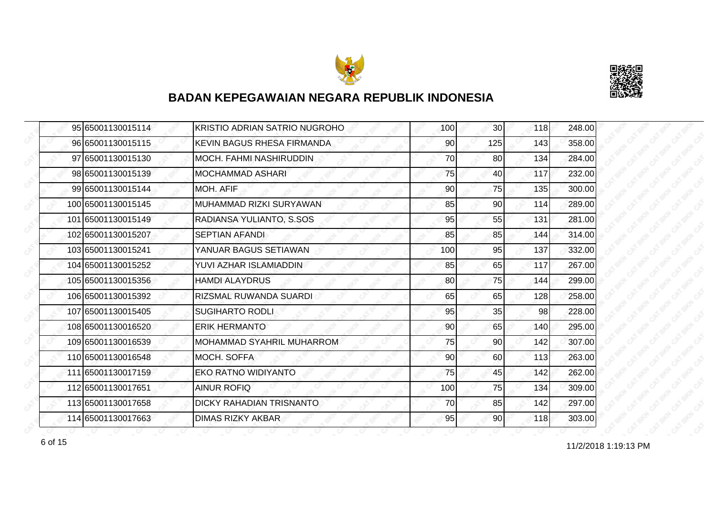



| 95 65001130015114  | KRISTIO ADRIAN SATRIO NUGROHO    | 100 | 30 <sub>l</sub> | 118 | 248.00 |
|--------------------|----------------------------------|-----|-----------------|-----|--------|
| 96 65001130015115  | KEVIN BAGUS RHESA FIRMANDA       | 90  | 125             | 143 | 358.00 |
| 97 65001130015130  | MOCH. FAHMI NASHIRUDDIN          | 70  | 80              | 134 | 284.00 |
| 98 65001130015139  | <b>MOCHAMMAD ASHARI</b>          | 75  | 40              | 117 | 232.00 |
| 99 65001130015144  | <b>MOH. AFIF</b>                 | 90  | 75              | 135 | 300.00 |
| 100 65001130015145 | IMUHAMMAD RIZKI SURYAWAN         | 85  | 90              | 114 | 289.00 |
| 101 65001130015149 | RADIANSA YULIANTO, S.SOS         | 95  | 55              | 131 | 281.00 |
| 102 65001130015207 | <b>SEPTIAN AFANDI</b>            | 85  | 85              | 144 | 314.00 |
| 103 65001130015241 | YANUAR BAGUS SETIAWAN            | 100 | 95              | 137 | 332.00 |
| 104 65001130015252 | YUVI AZHAR ISLAMIADDIN           | 85  | 65              | 117 | 267.00 |
| 105 65001130015356 | <b>HAMDI ALAYDRUS</b>            | 80  | 75              | 144 | 299.00 |
| 106 65001130015392 | RIZSMAL RUWANDA SUARDI           | 65  | 65              | 128 | 258.00 |
| 107 65001130015405 | <b>SUGIHARTO RODLI</b>           | 95  | 35              | 98  | 228.00 |
| 108 65001130016520 | <b>ERIK HERMANTO</b>             | 90  | 65              | 140 | 295.00 |
| 109 65001130016539 | <b>MOHAMMAD SYAHRIL MUHARROM</b> | 75  | 90              | 142 | 307.00 |
| 110 65001130016548 | <b>MOCH. SOFFA</b>               | 90  | 60              | 113 | 263.00 |
| 111 65001130017159 | <b>EKO RATNO WIDIYANTO</b>       | 75  | 45              | 142 | 262.00 |
| 112 65001130017651 | <b>AINUR ROFIQ</b>               | 100 | 75              | 134 | 309.00 |
| 113 65001130017658 | <b>DICKY RAHADIAN TRISNANTO</b>  | 70  | 85              | 142 | 297.00 |
| 114 65001130017663 | <b>DIMAS RIZKY AKBAR</b>         | 95  | 90              | 118 | 303.00 |

11/2/2018 1:19:13 PM 6 of 15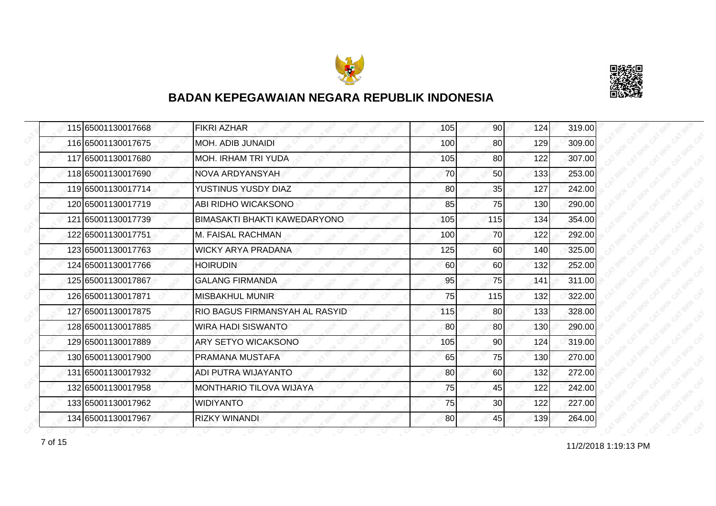



| 115 65001130017668 | <b>FIKRI AZHAR</b>                    | 105 | 90  | 124 | 319.00 |
|--------------------|---------------------------------------|-----|-----|-----|--------|
| 116 65001130017675 | <b>MOH. ADIB JUNAIDI</b>              | 100 | 80  | 129 | 309.00 |
| 117 65001130017680 | <b>MOH. IRHAM TRI YUDA</b>            | 105 | 80  | 122 | 307.00 |
| 118 65001130017690 | NOVA ARDYANSYAH                       | 70  | 50  | 133 | 253.00 |
| 119 65001130017714 | YUSTINUS YUSDY DIAZ                   | 80  | 35  | 127 | 242.00 |
| 120165001130017719 | ABI RIDHO WICAKSONO                   | 85  | 75  | 130 | 290.00 |
| 121 65001130017739 | <b>BIMASAKTI BHAKTI KAWEDARYONO</b>   | 105 | 115 | 134 | 354.00 |
| 122 65001130017751 | <b>M. FAISAL RACHMAN</b>              | 100 | 70  | 122 | 292.00 |
| 123 65001130017763 | <b>WICKY ARYA PRADANA</b>             | 125 | 60  | 140 | 325.00 |
| 124 65001130017766 | <b>HOIRUDIN</b>                       | 60  | 60  | 132 | 252.00 |
| 125 65001130017867 | <b>GALANG FIRMANDA</b>                | 95  | 75  | 141 | 311.00 |
| 126 65001130017871 | <b>MISBAKHUL MUNIR</b>                | 75  | 115 | 132 | 322.00 |
| 127 65001130017875 | <b>RIO BAGUS FIRMANSYAH AL RASYID</b> | 115 | 80  | 133 | 328.00 |
| 128 65001130017885 | <b>WIRA HADI SISWANTO</b>             | 80  | 80  | 130 | 290.00 |
| 129165001130017889 | ARY SETYO WICAKSONO                   | 105 | 90  | 124 | 319.00 |
| 130 65001130017900 | <b>PRAMANA MUSTAFA</b>                | 65  | 75  | 130 | 270.00 |
| 131 65001130017932 | ADI PUTRA WIJAYANTO                   | 80  | 60  | 132 | 272.00 |
| 132165001130017958 | <b>MONTHARIO TILOVA WIJAYA</b>        | 75  | 45  | 122 | 242.00 |
| 133 65001130017962 | <b>WIDIYANTO</b>                      | 75  | 30  | 122 | 227.00 |
| 134 65001130017967 | <b>RIZKY WINANDI</b>                  | 80  | 45  | 139 | 264.00 |

11/2/2018 1:19:13 PM 7 of 15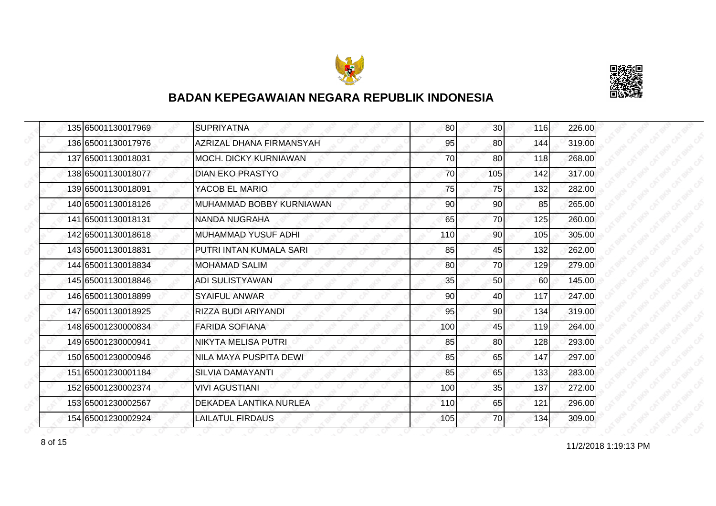



|  | 135 65001130017969 | <b>SUPRIYATNA</b>            | 80  | 30 <sup>1</sup> | 116 | 226.00 |
|--|--------------------|------------------------------|-----|-----------------|-----|--------|
|  | 136 65001130017976 | AZRIZAL DHANA FIRMANSYAH     | 95  | 80              | 144 | 319.00 |
|  | 137 65001130018031 | <b>MOCH. DICKY KURNIAWAN</b> | 70  | 80              | 118 | 268.00 |
|  | 138 65001130018077 | <b>DIAN EKO PRASTYO</b>      | 70  | 105             | 142 | 317.00 |
|  | 139 65001130018091 | YACOB EL MARIO               | 75  | 75              | 132 | 282.00 |
|  | 140 65001130018126 | MUHAMMAD BOBBY KURNIAWAN     | 90  | 90              | 85  | 265.00 |
|  | 141 65001130018131 | NANDA NUGRAHA                | 65  | 70              | 125 | 260.00 |
|  | 142 65001130018618 | <b>MUHAMMAD YUSUF ADHI</b>   | 110 | 90 <sub>l</sub> | 105 | 305.00 |
|  | 143 65001130018831 | PUTRI INTAN KUMALA SARI      | 85  | 45              | 132 | 262.00 |
|  | 144 65001130018834 | <b>MOHAMAD SALIM</b>         | 80  | 70              | 129 | 279.00 |
|  | 145 65001130018846 | <b>ADI SULISTYAWAN</b>       | 35  | 50              | 60  | 145.00 |
|  | 146 65001130018899 | <b>SYAIFUL ANWAR</b>         | 90  | 40              | 117 | 247.00 |
|  | 147 65001130018925 | RIZZA BUDI ARIYANDI          | 95  | 90 <sub>0</sub> | 134 | 319.00 |
|  | 148 65001230000834 | <b>FARIDA SOFIANA</b>        | 100 | 45              | 119 | 264.00 |
|  | 149 65001230000941 | NIKYTA MELISA PUTRI          | 85  | 80              | 128 | 293.00 |
|  | 150 65001230000946 | NILA MAYA PUSPITA DEWI       | 85  | 65              | 147 | 297.00 |
|  | 151 65001230001184 | <b>SILVIA DAMAYANTI</b>      | 85  | 65              | 133 | 283.00 |
|  | 152165001230002374 | VIVI AGUSTIANI               | 100 | 35              | 137 | 272.00 |
|  | 153 65001230002567 | DEKADEA LANTIKA NURLEA       | 110 | 65              | 121 | 296.00 |
|  | 154 65001230002924 | <b>LAILATUL FIRDAUS</b>      | 105 | 70              | 134 | 309.00 |

8 of 15 **11/2/2018 1:19:13 PM**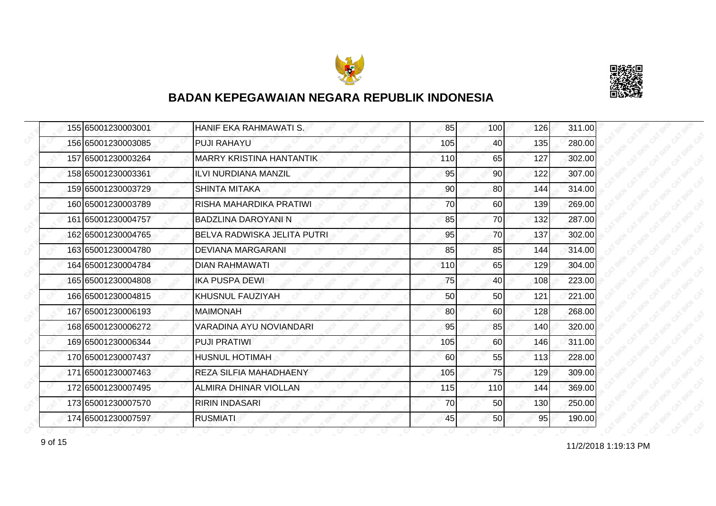



|  | 155 65001230003001 | HANIF EKA RAHMAWATI S.          | 85  | 100 | 126 | 311.00 |
|--|--------------------|---------------------------------|-----|-----|-----|--------|
|  | 156 65001230003085 | <b>PUJI RAHAYU</b>              | 105 | 40  | 135 | 280.00 |
|  | 157 65001230003264 | <b>MARRY KRISTINA HANTANTIK</b> | 110 | 65  | 127 | 302.00 |
|  | 158 65001230003361 | <b>ILVI NURDIANA MANZIL</b>     | 95  | 90  | 122 | 307.00 |
|  | 159 65001230003729 | <b>SHINTA MITAKA</b>            | 90  | 80  | 144 | 314.00 |
|  | 160 65001230003789 | RISHA MAHARDIKA PRATIWI         | 70  | 60  | 139 | 269.00 |
|  | 161 65001230004757 | <b>BADZLINA DAROYANI N</b>      | 85  | 70I | 132 | 287.00 |
|  | 162165001230004765 | BELVA RADWISKA JELITA PUTRI     | 95  | 70  | 137 | 302.00 |
|  | 163 65001230004780 | <b>DEVIANA MARGARANI</b>        | 85  | 85  | 144 | 314.00 |
|  | 164 65001230004784 | <b>DIAN RAHMAWATI</b>           | 110 | 65  | 129 | 304.00 |
|  | 165 65001230004808 | <b>IKA PUSPA DEWI</b>           | 75  | 40  | 108 | 223.00 |
|  | 166 65001230004815 | KHUSNUL FAUZIYAH                | 50  | 50  | 121 | 221.00 |
|  | 167 65001230006193 | <b>MAIMONAH</b>                 | 80  | 60  | 128 | 268.00 |
|  | 168 65001230006272 | VARADINA AYU NOVIANDARI         | 95  | 85  | 140 | 320.00 |
|  | 169 65001230006344 | <b>PUJI PRATIWI</b>             | 105 | 60  | 146 | 311.00 |
|  | 170 65001230007437 | <b>HUSNUL HOTIMAH</b>           | 60  | 55  | 113 | 228.00 |
|  | 171 65001230007463 | REZA SILFIA MAHADHAENY          | 105 | 75  | 129 | 309.00 |
|  | 172165001230007495 | ALMIRA DHINAR VIOLLAN           | 115 | 110 | 144 | 369.00 |
|  | 173 65001230007570 | <b>RIRIN INDASARI</b>           | 70  | 50  | 130 | 250.00 |
|  | 174 65001230007597 | <b>RUSMIATI</b>                 | 45  | 50  | 95  | 190.00 |

9 of 15 **11/2/2018 1:19:13 PM**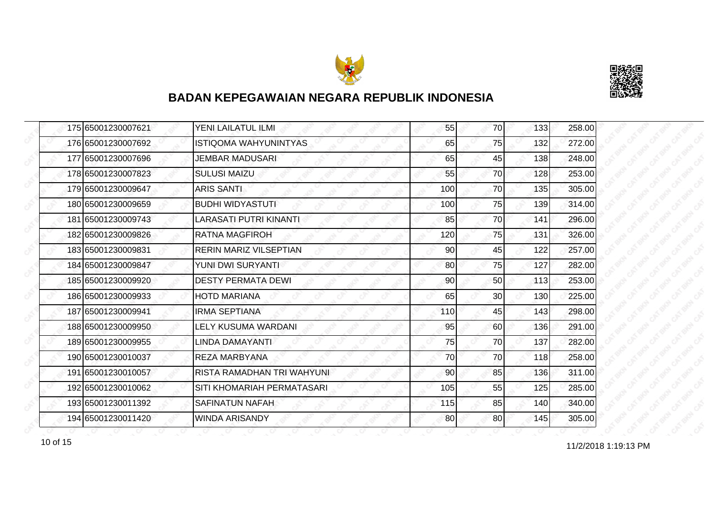



| 175 65001230007621 | YENI LAILATUL ILMI            | 55  | 70  | 133 | 258.00 |
|--------------------|-------------------------------|-----|-----|-----|--------|
| 176 65001230007692 | <b>ISTIQOMA WAHYUNINTYAS</b>  | 65  | 75  | 132 | 272.00 |
| 177165001230007696 | JEMBAR MADUSARI               | 65  | 45  | 138 | 248.00 |
| 178 65001230007823 | <b>SULUSI MAIZU</b>           | 55  | 70  | 128 | 253.00 |
| 179 65001230009647 | <b>ARIS SANTI</b>             | 100 | 70  | 135 | 305.00 |
| 180 65001230009659 | <b>BUDHI WIDYASTUTI</b>       | 100 | 75  | 139 | 314.00 |
| 181 65001230009743 | <b>LARASATI PUTRI KINANTI</b> | 85  | 70I | 141 | 296.00 |
| 182 65001230009826 | IRATNA MAGFIROH               | 120 | 75  | 131 | 326.00 |
| 183 65001230009831 | <b>RERIN MARIZ VILSEPTIAN</b> | 90  | 45  | 122 | 257.00 |
| 184 65001230009847 | YUNI DWI SURYANTI             | 80  | 75  | 127 | 282.00 |
| 185 65001230009920 | <b>DESTY PERMATA DEWI</b>     | 90  | 50  | 113 | 253.00 |
| 186 65001230009933 | <b>HOTD MARIANA</b>           | 65  | 30  | 130 | 225.00 |
| 187 65001230009941 | <b>IRMA SEPTIANA</b>          | 110 | 45  | 143 | 298.00 |
| 188 65001230009950 | LELY KUSUMA WARDANI           | 95  | 60  | 136 | 291.00 |
| 189 65001230009955 | LINDA DAMAYANTI               | 75  | 70  | 137 | 282.00 |
| 190 65001230010037 | <b>REZA MARBYANA</b>          | 70  | 70  | 118 | 258.00 |
| 191 65001230010057 | RISTA RAMADHAN TRI WAHYUNI    | 90  | 85  | 136 | 311.00 |
| 192 65001230010062 | SITI KHOMARIAH PERMATASARI    | 105 | 55  | 125 | 285.00 |
| 193 65001230011392 | <b>SAFINATUN NAFAH</b>        | 115 | 85  | 140 | 340.00 |
| 194 65001230011420 | <b>WINDA ARISANDY</b>         | 80  | 80  | 145 | 305.00 |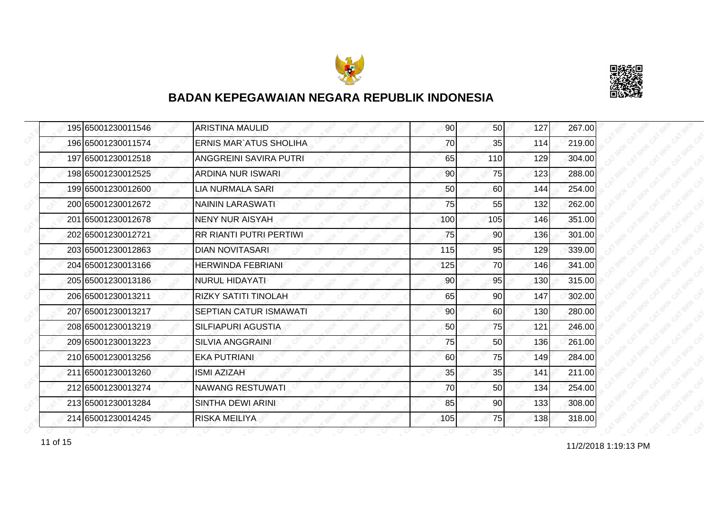



|  | 195 65001230011546 | <b>ARISTINA MAULID</b>         | 90  | 50 <sub>l</sub> | 127 | 267.00 |
|--|--------------------|--------------------------------|-----|-----------------|-----|--------|
|  | 196 65001230011574 | <b>ERNIS MAR' ATUS SHOLIHA</b> | 70  | 35              | 114 | 219.00 |
|  | 197 65001230012518 | ANGGREINI SAVIRA PUTRI         | 65  | 110             | 129 | 304.00 |
|  | 198 65001230012525 | <b>ARDINA NUR ISWARI</b>       | 90  | 75              | 123 | 288.00 |
|  | 199 65001230012600 | <b>LIA NURMALA SARI</b>        | 50  | 60              | 144 | 254.00 |
|  | 200 65001230012672 | <b>NAININ LARASWATI</b>        | 75  | 55              | 132 | 262.00 |
|  | 201 65001230012678 | <b>NENY NUR AISYAH</b>         | 100 | 105             | 146 | 351.00 |
|  | 202 65001230012721 | <b>RR RIANTI PUTRI PERTIWI</b> | 75  | 90I             | 136 | 301.00 |
|  | 203 65001230012863 | <b>DIAN NOVITASARI</b>         | 115 | 95              | 129 | 339.00 |
|  | 204 65001230013166 | <b>HERWINDA FEBRIANI</b>       | 125 | 70I             | 146 | 341.00 |
|  | 205 65001230013186 | <b>NURUL HIDAYATI</b>          | 90  | 95              | 130 | 315.00 |
|  | 206 65001230013211 | <b>RIZKY SATITI TINOLAH</b>    | 65  | 90              | 147 | 302.00 |
|  | 207 65001230013217 | <b>SEPTIAN CATUR ISMAWATI</b>  | 90  | 60I             | 130 | 280.00 |
|  | 208 65001230013219 | SILFIAPURI AGUSTIA             | 50  | 75              | 121 | 246.00 |
|  | 209 65001230013223 | <b>SILVIA ANGGRAINI</b>        | 75  | 50              | 136 | 261.00 |
|  | 210 65001230013256 | <b>EKA PUTRIANI</b>            | 60  | 75              | 149 | 284.00 |
|  | 211 65001230013260 | <b>ISMI AZIZAH</b>             | 35  | 35              | 141 | 211.00 |
|  | 212 65001230013274 | NAWANG RESTUWATI               | 70  | 50              | 134 | 254.00 |
|  | 213 65001230013284 | SINTHA DEWI ARINI              | 85  | 90              | 133 | 308.00 |
|  | 214 65001230014245 | <b>RISKA MEILIYA</b>           | 105 | 75I             | 138 | 318.00 |

11 of 15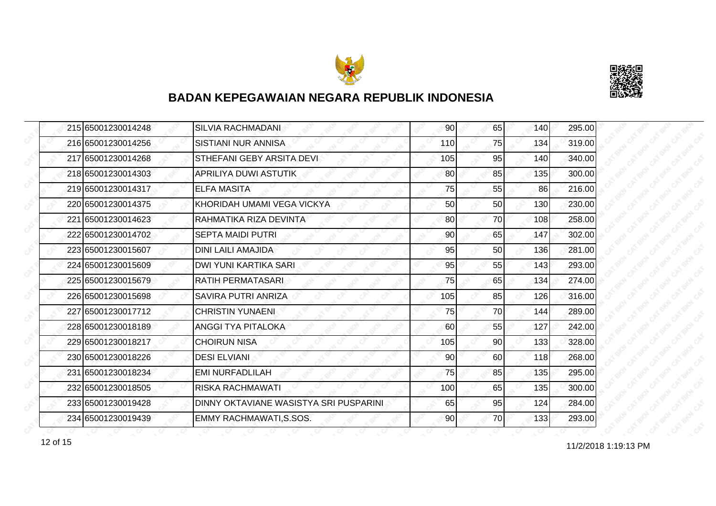



|  | 215 65001230014248 | <b>SILVIA RACHMADANI</b>               | 90  | 65  | 140 | 295.00 |
|--|--------------------|----------------------------------------|-----|-----|-----|--------|
|  | 216 65001230014256 | <b>SISTIANI NUR ANNISA</b>             | 110 | 75  | 134 | 319.00 |
|  | 217 65001230014268 | STHEFANI GEBY ARSITA DEVI              | 105 | 95  | 140 | 340.00 |
|  | 218 65001230014303 | APRILIYA DUWI ASTUTIK                  | 80  | 85  | 135 | 300.00 |
|  | 219 65001230014317 | <b>ELFA MASITA</b>                     | 75  | 55  | 86  | 216.00 |
|  | 220 65001230014375 | KHORIDAH UMAMI VEGA VICKYA             | 50  | 50  | 130 | 230.00 |
|  | 221 65001230014623 | RAHMATIKA RIZA DEVINTA                 | 80  | 70I | 108 | 258.00 |
|  | 222 65001230014702 | <b>SEPTA MAIDI PUTRI</b>               | 90  | 65  | 147 | 302.00 |
|  | 223 65001230015607 | <b>DINI LAILI AMAJIDA</b>              | 95  | 50  | 136 | 281.00 |
|  | 224 65001230015609 | <b>DWI YUNI KARTIKA SARI</b>           | 95  | 55  | 143 | 293.00 |
|  | 225 65001230015679 | RATIH PERMATASARI                      | 75  | 65  | 134 | 274.00 |
|  | 226165001230015698 | SAVIRA PUTRI ANRIZA                    | 105 | 85  | 126 | 316.00 |
|  | 227165001230017712 | <b>CHRISTIN YUNAENI</b>                | 75  | 70  | 144 | 289.00 |
|  | 228 65001230018189 | ANGGI TYA PITALOKA                     | 60  | 55  | 127 | 242.00 |
|  | 229 65001230018217 | <b>CHOIRUN NISA</b>                    | 105 | 90  | 133 | 328.00 |
|  | 230 65001230018226 | <b>DESI ELVIANI</b>                    | 90  | 60  | 118 | 268.00 |
|  | 231 65001230018234 | <b>EMI NURFADLILAH</b>                 | 75  | 85  | 135 | 295.00 |
|  | 232 65001230018505 | <b>RISKA RACHMAWATI</b>                | 100 | 65  | 135 | 300.00 |
|  | 233 65001230019428 | DINNY OKTAVIANE WASISTYA SRI PUSPARINI | 65  | 95  | 124 | 284.00 |
|  | 234 65001230019439 | EMMY RACHMAWATI, S.SOS.                | 90  | 70  | 133 | 293.00 |

12 of 15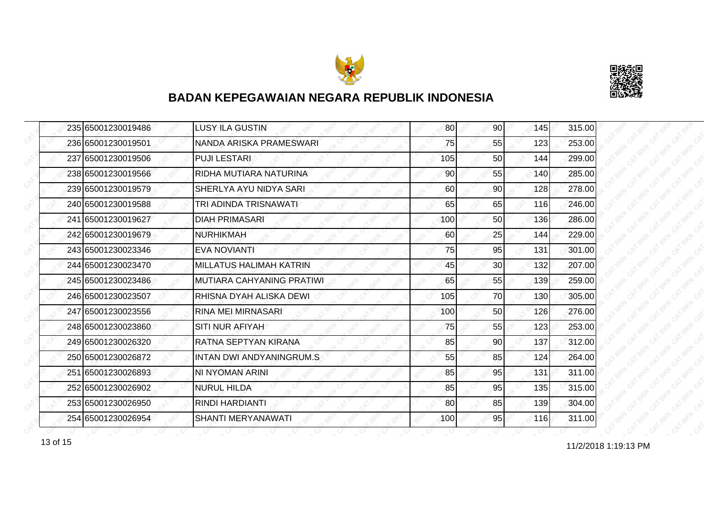



|  | 235165001230019486 | LUSY ILA GUSTIN                 | 80  | <b>901</b>      | 145 | 315.00 |
|--|--------------------|---------------------------------|-----|-----------------|-----|--------|
|  | 236 65001230019501 | NANDA ARISKA PRAMESWARI         | 75  | 55              | 123 | 253.00 |
|  | 237 65001230019506 | <b>PUJI LESTARI</b>             | 105 | 50              | 144 | 299.00 |
|  | 238 65001230019566 | RIDHA MUTIARA NATURINA          | 90  | 55              | 140 | 285.00 |
|  | 239 65001230019579 | SHERLYA AYU NIDYA SARI          | 60  | 90              | 128 | 278.00 |
|  | 240 65001230019588 | TRI ADINDA TRISNAWATI           | 65  | 65              | 116 | 246.00 |
|  | 241 65001230019627 | <b>DIAH PRIMASARI</b>           | 100 | 50 <sub>l</sub> | 136 | 286.00 |
|  | 242 65001230019679 | <b>NURHIKMAH</b>                | 60  | 25              | 144 | 229.00 |
|  | 243 65001230023346 | <b>EVA NOVIANTI</b>             | 75  | 95              | 131 | 301.00 |
|  | 244 65001230023470 | <b>MILLATUS HALIMAH KATRIN</b>  | 45  | 30 <sub>l</sub> | 132 | 207.00 |
|  | 245 65001230023486 | MUTIARA CAHYANING PRATIWI       | 65  | 55              | 139 | 259.00 |
|  | 246 65001230023507 | RHISNA DYAH ALISKA DEWI         | 105 | 70              | 130 | 305.00 |
|  | 247165001230023556 | RINA MEI MIRNASARI              | 100 | 50              | 126 | 276.00 |
|  | 248 65001230023860 | SITI NUR AFIYAH                 | 75  | 55              | 123 | 253.00 |
|  | 249 65001230026320 | RATNA SEPTYAN KIRANA            | 85  | 90              | 137 | 312.00 |
|  | 250 65001230026872 | <b>INTAN DWI ANDYANINGRUM.S</b> | 55  | 85              | 124 | 264.00 |
|  | 251 65001230026893 | NI NYOMAN ARINI                 | 85  | 95              | 131 | 311.00 |
|  | 252165001230026902 | NURUL HILDA                     | 85  | 95              | 135 | 315.00 |
|  | 253 65001230026950 | RINDI HARDIANTI                 | 80  | 85              | 139 | 304.00 |
|  | 254 65001230026954 | SHANTI MERYANAWATI              | 100 | 95              | 116 | 311.00 |

13 of 15 and 11/2/2018 1:19:13 PM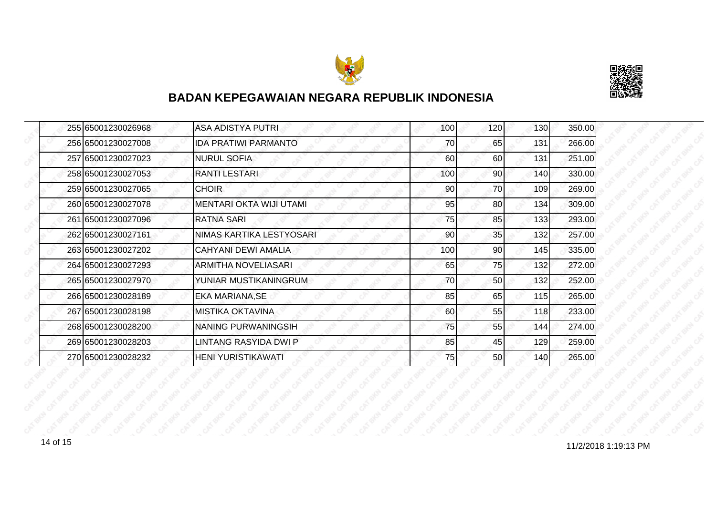



| 255 65001230026968 | <b>ASA ADISTYA PUTRI</b>       | 100 | 120 | 130   | 350.00 |
|--------------------|--------------------------------|-----|-----|-------|--------|
| 256 65001230027008 | <b>IDA PRATIWI PARMANTO</b>    | 70  | 65  | 131   | 266.00 |
| 257 65001230027023 | <b>NURUL SOFIA</b>             | 60  | 60  | 131   | 251.00 |
| 258 65001230027053 | <b>RANTI LESTARI</b>           | 100 | 90  | 140   | 330.00 |
| 259 65001230027065 | <b>CHOIR</b>                   | 90  | 70  | 109   | 269.00 |
| 260 65001230027078 | <b>MENTARI OKTA WIJI UTAMI</b> | 95  | 80  | 134   | 309.00 |
| 261 65001230027096 | <b>RATNA SARI</b>              | 75  | 85  | $133$ | 293.00 |
| 262 65001230027161 | NIMAS KARTIKA LESTYOSARI       | 90  | 35  | 132   | 257.00 |
| 263 65001230027202 | <b>CAHYANI DEWI AMALIA</b>     | 100 | 90  | 145   | 335.00 |
| 264 65001230027293 | <b>ARMITHA NOVELIASARI</b>     | 65  | 75  | 132   | 272.00 |
| 265 65001230027970 | YUNIAR MUSTIKANINGRUM          | 70  | 50  | 132   | 252.00 |
| 266 65001230028189 | <b>EKA MARIANA, SE</b>         | 85  | 65  | 115   | 265.00 |
| 267 65001230028198 | <b>MISTIKA OKTAVINA</b>        | 60  | 55  | 118   | 233.00 |
| 268 65001230028200 | NANING PURWANINGSIH            | 75  | 55  | 144   | 274.00 |
| 269 65001230028203 | LINTANG RASYIDA DWI P          | 85  | 45  | 129   | 259.00 |
| 270 65001230028232 | <b>HENI YURISTIKAWATI</b>      | 75  | 50  | 140   | 265.00 |